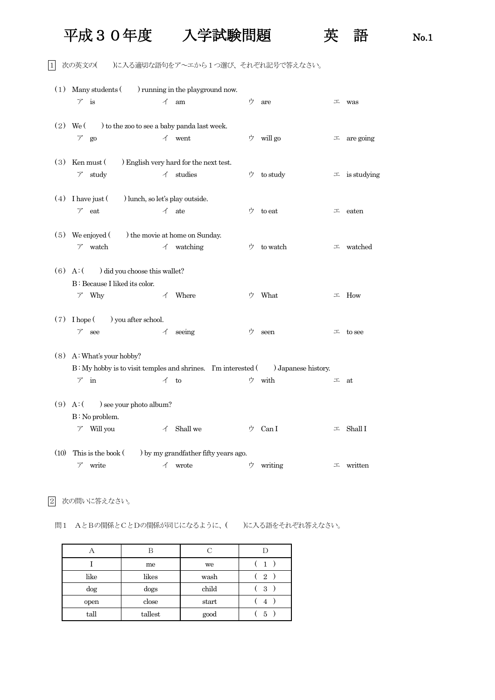## 平成30年度 入学試験問題 英 語 No.1

1 次の英文の( )に入る適切な語句をア~エから1つ選び、それぞれ記号で答えなさい。

| (1)      | Many students () running in the playground now.<br>$\nabla$ is                                                   | イ                        | am                                                             | ウ | are                           | エ | was            |
|----------|------------------------------------------------------------------------------------------------------------------|--------------------------|----------------------------------------------------------------|---|-------------------------------|---|----------------|
|          | to the zoo to see a baby panda last week.<br>$(2)$ We $($<br>$\mathcal{T}$<br>go                                 |                          | $\checkmark$ went                                              | ウ | will go                       | 工 | are going      |
| (3)      | Ken must (<br>study<br>$\mathcal{T}$                                                                             |                          | ) English very hard for the next test.<br>$\checkmark$ studies | ウ | to study                      | 工 | is studying    |
| (4)      | I have just (<br>) lunch, so let's play outside.<br>$\nabla$ eat                                                 |                          | $\angle$ ate                                                   | ウ | to eat                        | エ | eaten          |
| (5)      | We enjoyed (<br>$\nabla$ watch                                                                                   | イ                        | ) the movie at home on Sunday.<br>watching                     | ウ | to watch                      | 工 | watched        |
| $(6)$ A: | ) did you choose this wallet?<br>B: Because I liked its color.<br>$\nabla$ Why                                   | $\overline{\mathcal{A}}$ | Where                                                          | ゥ | What                          | 工 | How            |
| (7)      | ) you after school.<br>I hope (<br>$\mathcal{T}$<br>see                                                          | イ                        | seeing                                                         | ウ | seen                          |   | $\perp$ to see |
|          | $(8)$ A: What's your hobby?<br>B: My hobby is to visit temples and shrines. I'm interested (<br>$\mathcal{F}$ in | $\preceq$ to             |                                                                |   | ) Japanese history.<br>ウ with | 工 | at             |
| $(9)$ A: | ) see your photo album?<br>$B:$ No problem.<br>Will you<br>Τ                                                     | $\overline{A}$           | Shall we                                                       | ウ | Can I                         | エ | Shall I        |
| (10)     | This is the book (<br>write<br>γ                                                                                 | イ                        | ) by my grandfather fifty years ago.<br>wrote                  | ウ | writing                       | エ | written        |

2 次の問いに答えなさい。

問1 AとBの関係とCとDの関係が同じになるように、( )に入る語をそれぞれ答えなさい。

|        | B       | C     |                |
|--------|---------|-------|----------------|
|        | me      | we    |                |
| like   | likes   | wash  | $\overline{2}$ |
| $\log$ | dogs    | child | 3              |
| open   | close   | start | 4              |
| tall   | tallest | good  | 5              |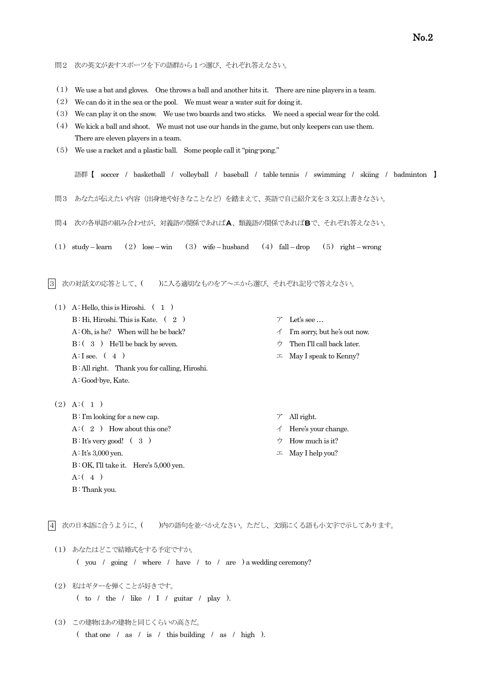- (1) We use a bat and gloves. One throws a ball and another hits it. There are nine players in a team.
- (2) We can do it in the sea or the pool. We must wear a water suit for doing it.
- (3) We can play it on the snow. We use two boards and two sticks. We need a special wear for the cold.
- (4) We kick a ball and shoot. We must not use our hands in the game, but only keepers can use them. There are eleven players in a team.
- (5) We use a racket and a plastic ball. Some people call it "ping-pong."

語群【 soccer / basketball / volleyball / baseball / table tennis / swimming / skiing / badminton 】

問3 あなたが伝えたい内容(出身地や好きなことなど)を踏まえて、英語で自己紹介文を3文以上書きなさい。

- 問4 次の各単語の組み合わせが、対義語の関係であればA、類義語の関係であればBで、それぞれ答えなさい。
- (1) study learn (2) lose win (3) wife husband (4) fall drop (5) right wrong
- |3| 次の対話文の応答として、( )に入る適切なものをア~エから選び、それぞれ記号で答えなさい。
	- $(1)$  A: Hello, this is Hiroshi.  $(1)$  $B : Hi$ , Hiroshi. This is Kate. ( 2 )  $\qquad \qquad \gamma$  Let's see ...  $(A : Oh, is he?$  When will he be back?  $\uparrow$  I'm sorry, but he's out now. B:  $(3)$  He'll be back by seven.  $\forall$  Then I'll call back later.  $A: I$  see.  $(4)$   $\perp$  May I speak to Kenny? B: All right. Thank you for calling, Hiroshi. A: Good-bye, Kate.
		-
	- $(2)$  A: $(1)$  $B: \Gamma$ m looking for a new cap.  $\mathcal{F}$  All right.  $A: (2)$  How about this one?  $\uparrow$  Here's your change.  $B : It's very good!$  (3)  $\uparrow$  How much is it?  $A: It's 3,000$  yen.  $\Box$  May I help you? B: OK, I'll take it. Here's 5,000 yen.  $A : (4)$ B: Thank you.

|4| 次の日本語に合うように、( )内の語句を並べかえなさい。ただし、文頭にくる語も小文字で示してあります。

(1) あなたはどこで結婚式をする予定ですか。

( you / going / where / have / to / are ) a wedding ceremony?

- (2) 私はギターを弾くことが好きです。 ( to / the / like / I / guitar / play ).
- (3) この建物はあの建物と同じくらいの高さだ。 ( that one / as / is / this building / as / high ).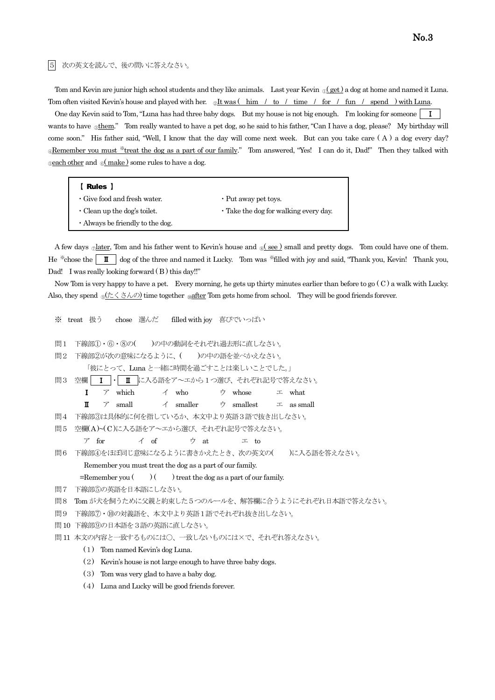5 次の英文を読んで、後の問いに答えなさい。

Tom and Kevin are junior high school students and they like animals. Last year Kevin  $\mathbb{Q}(\text{get})$  a dog at home and named it Luna. Tom often visited Kevin's house and played with her.  $\mathcal{Q}$ It was (him / to / time / for / fun / spend ) with Luna.

One day Kevin said to Tom, "Luna has had three baby dogs. But my house is not big enough. I'm looking for someone | I wants to have **©them.**" Tom really wanted to have a pet dog, so he said to his father, "Can I have a dog, please? My birthday will come soon." His father said, "Well, I know that the day will come next week. But can you take care ( A ) a dog every day? <sup>®</sup>Remember you must \*treat the dog as a part of our family." Tom answered, "Yes! I can do it, Dad!" Then they talked with  $\epsilon$  and  $\epsilon$  make) some rules to have a dog.

| 【 Rules 】                              |                                             |
|----------------------------------------|---------------------------------------------|
| $\cdot$ Give food and fresh water.     | • Put away pet toys.                        |
| $\cdot$ Clean up the dog's toilet.     | $\cdot$ Take the dog for walking every day. |
| $\cdot$ Always be friendly to the dog. |                                             |

A few days <sub>②</sub>later, Tom and his father went to Kevin's house and <sub>8</sub> (see ) small and pretty dogs. Tom could have one of them. He <sup>\*\*</sup>chose the  $\| \mathbf{I} \|^2$  dog of the three and named it Lucky. Tom was <sup>\*\*</sup>filled with joy and said, "Thank you, Kevin! Thank you, Dad! I was really looking forward  $(B)$  this day!!"

 Now Tom is very happy to have a pet. Every morning, he gets up thirty minutes earlier than before to go ( C ) a walk with Lucky. Also, they spend  $\frac{\partial (r \leq \pm \lambda \mathcal{D})}{\partial r}$  time together  $\frac{\partial (r \in \pm \lambda \mathcal{D})}{\partial r}$  and  $\frac{\partial (r \in \pm \lambda \mathcal{D})}{\partial r}$  time together  $\frac{\partial (r \in \pm \lambda \mathcal{D})}{\partial r}$  and  $\frac{\partial (r \in \pm \lambda \mathcal{D})}{\partial r}$  and  $\frac{\partial (r \in \pm \lambda \mathcal{D})}{\partial r}$  and  $\frac$ 

```
※ treat 扱う chose 選んだ filled with joy 喜びでいっぱい
問1 下線部①・6・8の()の中の動詞をそれぞれ過去形に直しなさい。
問2 下線部②が次の意味になるように、()の中の語を並べかえなさい。
      「彼にとって、Luna と一緒に時間を過ごすことは楽しいことでした。」
問3 空欄│ Ⅰ │ Ⅱ に入る語をア~エから1つ選び、それぞれ記号で答えなさい。
     Ⅰ ア which イ who ウ whose エ what
     \blacksquare  ア small  イ smaller  ウ smallest  エ as small
問4 下線部③は具体的に何を指しているか、本文中より英語3語で抜き出しなさい。
問5 空欄( A )~( C )に入る語をア~エから選び、それぞれ記号で答えなさい。
     ア for イ of ウ at エ to
問6 下線部④をほぼ同じ意味になるように書きかえたとき、次の英文の( )に入る語を答えなさい。
     Remember you must treat the dog as a part of our family.
    =Remember you ( ) ( ) treat the dog as a part of our family.
問7 下線部⑤の英語を日本語にしなさい。
問8 Tom が犬を飼うために父親と約束した5つのルールを、解答欄に合うようにそれぞれ日本語で答えなさい。
問9 下線部⑦・⑩の対義語を、本文中より英語1語でそれぞれ抜き出しなさい。
問10 下線部⑨の日本語を3語の英語に直しなさい。
問11 本文の内容と一致するものには〇、一致しないものには×で、それぞれ答えなさい。
     (1) Tom named Kevin's dog Luna.
     (2) Kevin's house is not large enough to have three baby dogs.
     (3) Tom was very glad to have a baby dog.
     (4) Luna and Lucky will be good friends forever.
```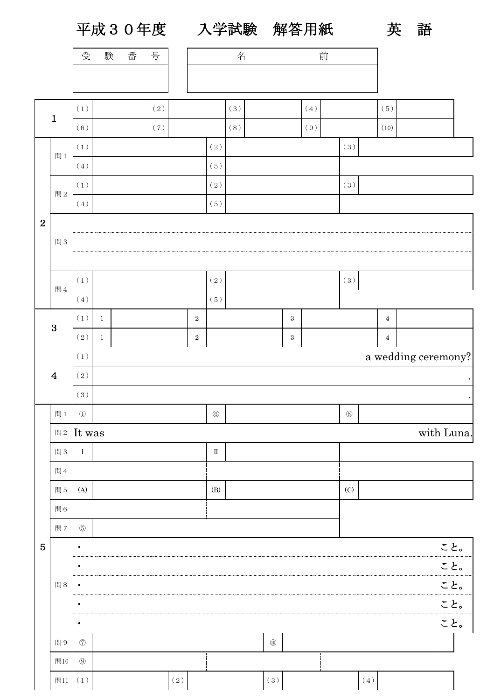平成30年度 入学試験 解答用紙 英 語

|                  |                | 受                              | 験                                    | 番 | 号   |           |            | 前<br>名       |     |           |                  |     |             |           |                |            |  |
|------------------|----------------|--------------------------------|--------------------------------------|---|-----|-----------|------------|--------------|-----|-----------|------------------|-----|-------------|-----------|----------------|------------|--|
|                  |                |                                |                                      |   |     |           |            |              |     |           |                  |     |             |           |                |            |  |
|                  |                |                                |                                      |   |     |           |            |              |     |           |                  |     |             |           |                |            |  |
|                  | $\mathbf{1}$   | (1)                            |                                      |   | (2) |           |            |              | (3) |           |                  | (4) |             |           | (5)            |            |  |
|                  |                | (6)                            | (7)                                  |   |     |           |            |              | (8) |           |                  | (9) |             |           | (10)           |            |  |
|                  | 間1             | $\left(\,1\,\right)$           |                                      |   |     |           |            | $(\,2\,)$    |     |           |                  |     | (3)         |           |                |            |  |
|                  |                | $(\,4\,)$                      |                                      |   |     |           |            | (5)          |     |           |                  |     |             |           |                |            |  |
|                  | 間 $2\,$        | $\left(\,1\,\right)$           |                                      |   |     |           |            | (2)          |     |           |                  |     | (3)         |           |                |            |  |
|                  |                | $(\,4\,)$                      |                                      |   |     |           |            | (5)          |     |           |                  |     |             |           |                |            |  |
| $\boldsymbol{2}$ |                |                                |                                      |   |     |           |            |              |     |           |                  |     |             |           |                |            |  |
|                  | 問3             |                                |                                      |   |     |           |            |              |     |           |                  |     |             |           |                |            |  |
|                  |                |                                |                                      |   |     |           |            |              |     |           |                  |     |             |           |                |            |  |
|                  | 間4             | $\left(\,1\,\right)$           |                                      |   |     |           |            | $(\,2\,)$    |     |           |                  |     | (3)         |           |                |            |  |
|                  |                | $(\,4\,)$                      |                                      |   |     |           | (5)        |              |     |           |                  |     |             |           |                |            |  |
|                  | $\mathbf{3}$   | (1)                            | $\mathbf{1}$                         |   |     |           | $\sqrt{2}$ |              |     |           | $\sqrt{3}$       |     |             |           | $\overline{4}$ |            |  |
|                  |                | $(\,2\,)$                      | $\mathbf{1}$                         |   |     |           | $\sqrt{2}$ |              |     |           | $\boldsymbol{3}$ |     |             |           | $\overline{4}$ |            |  |
|                  | $\overline{4}$ | $(\,1\,)$                      | a wedding ceremony?                  |   |     |           |            |              |     |           |                  |     |             |           |                |            |  |
|                  |                | (2)                            |                                      |   |     |           |            |              |     |           |                  |     |             |           |                |            |  |
|                  |                | (3)                            |                                      |   |     |           |            |              |     |           |                  |     |             |           |                |            |  |
|                  | 問1             | $\textcircled{\scriptsize{1}}$ |                                      |   |     |           |            | $\circledS$  |     |           |                  |     | $\circledS$ |           |                |            |  |
|                  |                | 間2 It was                      |                                      |   |     |           |            |              |     |           |                  |     |             |           |                | with Luna. |  |
|                  | 問3             | $\rm I$                        |                                      |   |     |           |            | $\rm \, \Pi$ |     |           |                  |     |             |           |                |            |  |
|                  | 問4             |                                |                                      |   |     |           |            |              |     |           |                  |     |             |           |                |            |  |
|                  | 問5             | (A)                            |                                      |   |     |           |            | (B)<br>(C)   |     |           |                  |     |             |           |                |            |  |
|                  | 問6             |                                |                                      |   |     |           |            |              |     |           |                  |     |             |           |                |            |  |
|                  | 問7             | $\circledS$                    |                                      |   |     |           |            |              |     |           |                  |     |             |           |                |            |  |
| $\overline{5}$   |                | $\bullet$                      |                                      |   |     |           |            |              |     |           |                  |     |             |           |                | こと。        |  |
|                  |                | ٠<br>                          |                                      |   |     |           |            |              |     |           |                  |     |             | こと。       |                |            |  |
|                  | 問8             | $\bullet$                      |                                      |   |     |           |            |              |     |           |                  |     |             | こと。       |                |            |  |
|                  |                | $\bullet$<br>                  |                                      |   |     |           |            |              |     |           |                  |     |             | こと。       |                |            |  |
|                  |                | $\bullet$                      | こと。                                  |   |     |           |            |              |     |           |                  |     |             |           |                |            |  |
|                  | 問9             | $\circledT$                    | $^{\textcircled{\footnotesize{10}}}$ |   |     |           |            |              |     |           |                  |     |             |           |                |            |  |
|                  | 問10            | $\textcircled{\scriptsize 9}$  |                                      |   |     |           |            |              |     |           |                  |     |             |           |                |            |  |
|                  | 問11            | $\left(\,1\,\right)$           |                                      |   |     | $(\,2\,)$ |            |              |     | $(\,3\,)$ |                  |     |             | $(\,4\,)$ |                |            |  |